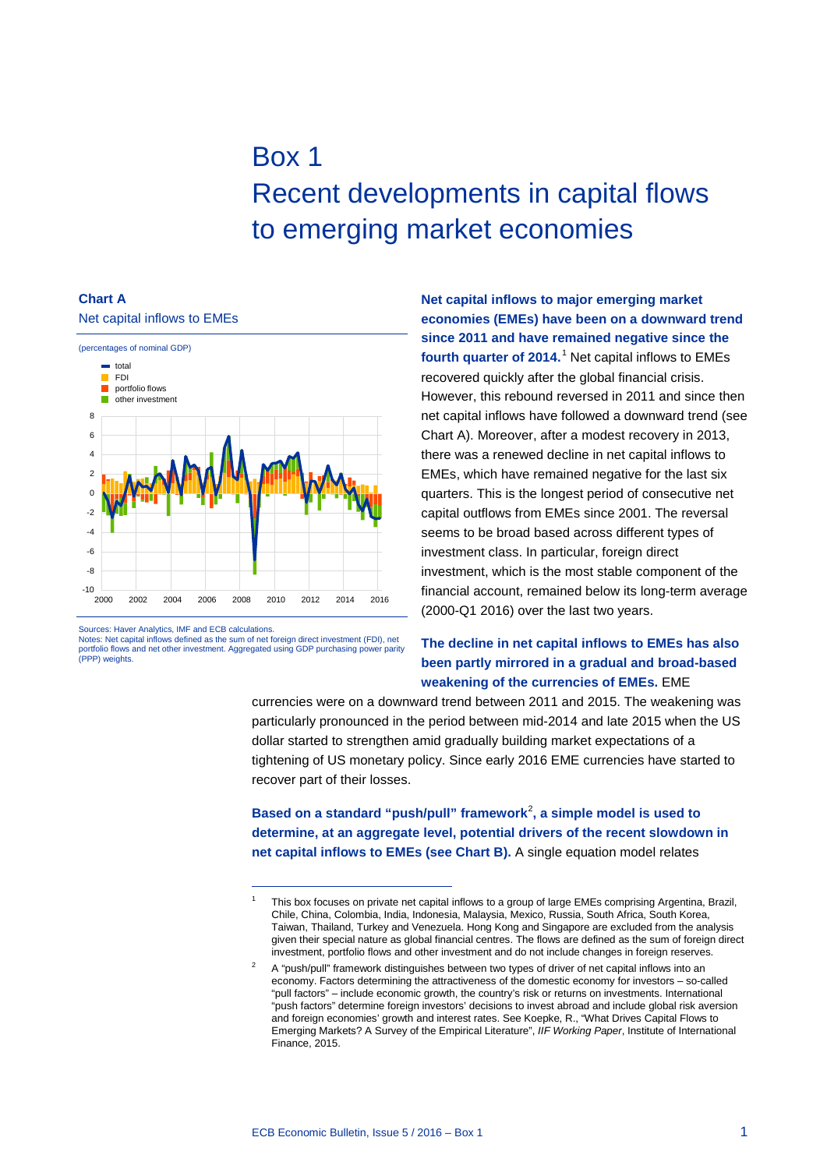# Box 1 Recent developments in capital flows to emerging market economies

#### **Chart A** Net capital inflows to EMEs



Sources: Haver Analytics, IMF and ECB calculations.

Notes: Net capital inflows defined as the sum of net foreign direct investment (FDI), net portfolio flows and net other investment. Aggregated using GDP purchasing power parity (PPP) weights.

<span id="page-0-0"></span>-

**Net capital inflows to major emerging market economies (EMEs) have been on a downward trend since 2011 and have remained negative since the fourth quarter of 2014.**[1](#page-0-0) Net capital inflows to EMEs recovered quickly after the global financial crisis. However, this rebound reversed in 2011 and since then net capital inflows have followed a downward trend (see Chart A). Moreover, after a modest recovery in 2013, there was a renewed decline in net capital inflows to EMEs, which have remained negative for the last six quarters. This is the longest period of consecutive net capital outflows from EMEs since 2001. The reversal seems to be broad based across different types of investment class. In particular, foreign direct investment, which is the most stable component of the financial account, remained below its long-term average (2000-Q1 2016) over the last two years.

## **The decline in net capital inflows to EMEs has also been partly mirrored in a gradual and broad-based weakening of the currencies of EMEs.** EME

currencies were on a downward trend between 2011 and 2015. The weakening was particularly pronounced in the period between mid-2014 and late 2015 when the US dollar started to strengthen amid gradually building market expectations of a tightening of US monetary policy. Since early 2016 EME currencies have started to recover part of their losses.

**Based on a standard "push/pull" framework**[2](#page-0-1) **, a simple model is used to determine, at an aggregate level, potential drivers of the recent slowdown in net capital inflows to EMEs (see Chart B).** A single equation model relates

This box focuses on private net capital inflows to a group of large EMEs comprising Argentina, Brazil, Chile, China, Colombia, India, Indonesia, Malaysia, Mexico, Russia, South Africa, South Korea, Taiwan, Thailand, Turkey and Venezuela. Hong Kong and Singapore are excluded from the analysis given their special nature as global financial centres. The flows are defined as the sum of foreign direct investment, portfolio flows and other investment and do not include changes in foreign reserves.

<span id="page-0-1"></span>A "push/pull" framework distinguishes between two types of driver of net capital inflows into an economy. Factors determining the attractiveness of the domestic economy for investors – so-called "pull factors" – include economic growth, the country's risk or returns on investments. International "push factors" determine foreign investors' decisions to invest abroad and include global risk aversion and foreign economies' growth and interest rates. See Koepke, R., "What Drives Capital Flows to Emerging Markets? A Survey of the Empirical Literature", *IIF Working Paper*, Institute of International Finance, 2015.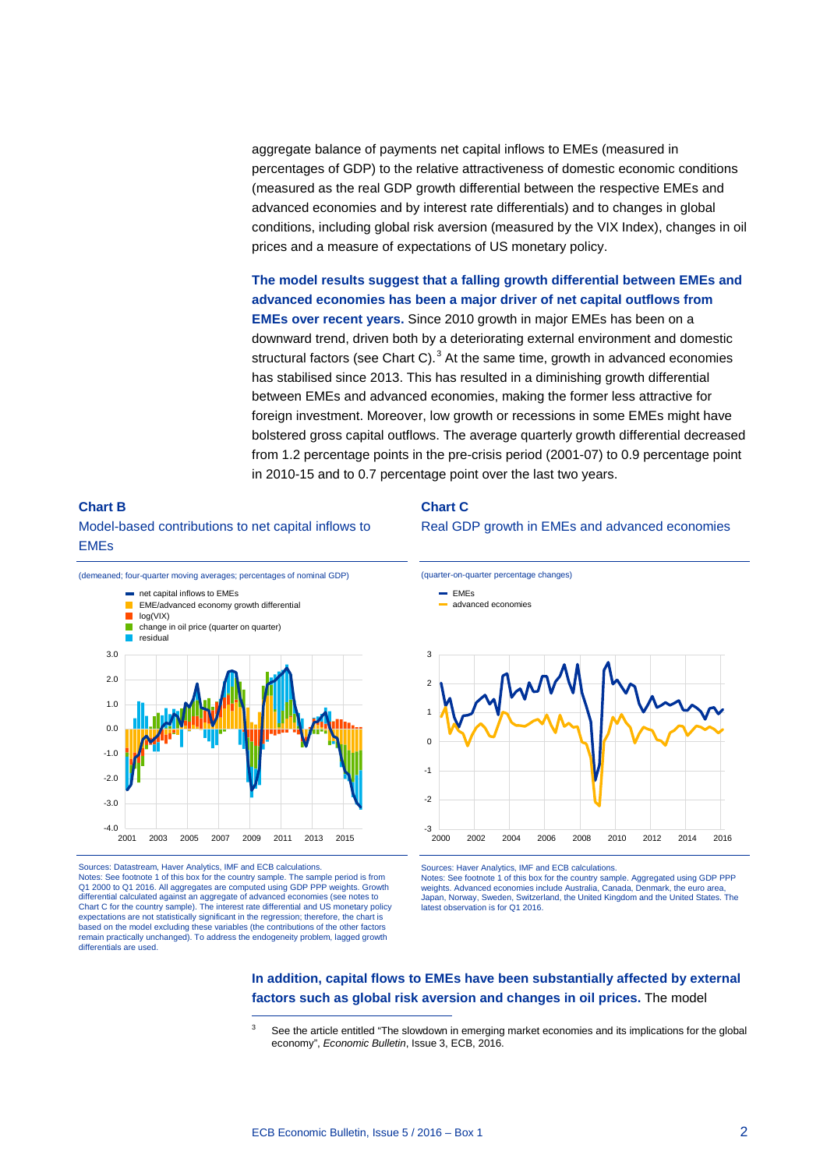aggregate balance of payments net capital inflows to EMEs (measured in percentages of GDP) to the relative attractiveness of domestic economic conditions (measured as the real GDP growth differential between the respective EMEs and advanced economies and by interest rate differentials) and to changes in global conditions, including global risk aversion (measured by the VIX Index), changes in oil prices and a measure of expectations of US monetary policy.

**The model results suggest that a falling growth differential between EMEs and advanced economies has been a major driver of net capital outflows from EMEs over recent years.** Since 2010 growth in major EMEs has been on a downward trend, driven both by a deteriorating external environment and domestic structural factors (see Chart C). $<sup>3</sup>$  $<sup>3</sup>$  $<sup>3</sup>$  At the same time, growth in advanced economies</sup> has stabilised since 2013. This has resulted in a diminishing growth differential between EMEs and advanced economies, making the former less attractive for foreign investment. Moreover, low growth or recessions in some EMEs might have bolstered gross capital outflows. The average quarterly growth differential decreased from 1.2 percentage points in the pre-crisis period (2001-07) to 0.9 percentage point in 2010-15 and to 0.7 percentage point over the last two years.

# **Chart B** Model-based contributions to net capital inflows to EMEs



<span id="page-1-0"></span>Sources: Datastream, Haver Analytics, IMF and ECB calculations. Notes: See footnote 1 of this box for the country sample. The sample period is from Q1 2000 to Q1 2016. All aggregates are computed using GDP PPP weights. Growth differential calculated against an aggregate of advanced economies (see notes to Chart C for the country sample). The interest rate differential and US monetary policy expectations are not statistically significant in the regression; therefore, the chart is based on the model excluding these variables (the contributions of the other factors remain practically unchanged). To address the endogeneity problem, lagged growth differentials are used.

-

#### **Chart C**





Sources: Haver Analytics, IMF and ECB calculations. Notes: See footnote 1 of this box for the country sample. Aggregated using GDP PPP weights. Advanced economies include Australia, Canada, Denmark, the euro area, Japan, Norway, Sweden, Switzerland, the United Kingdom and the United States. The latest observation is for Q1 2016.

### **In addition, capital flows to EMEs have been substantially affected by external factors such as global risk aversion and changes in oil prices.** The model

See the article entitled "The slowdown in emerging market economies and its implications for the global economy", *Economic Bulletin*, Issue 3, ECB, 2016.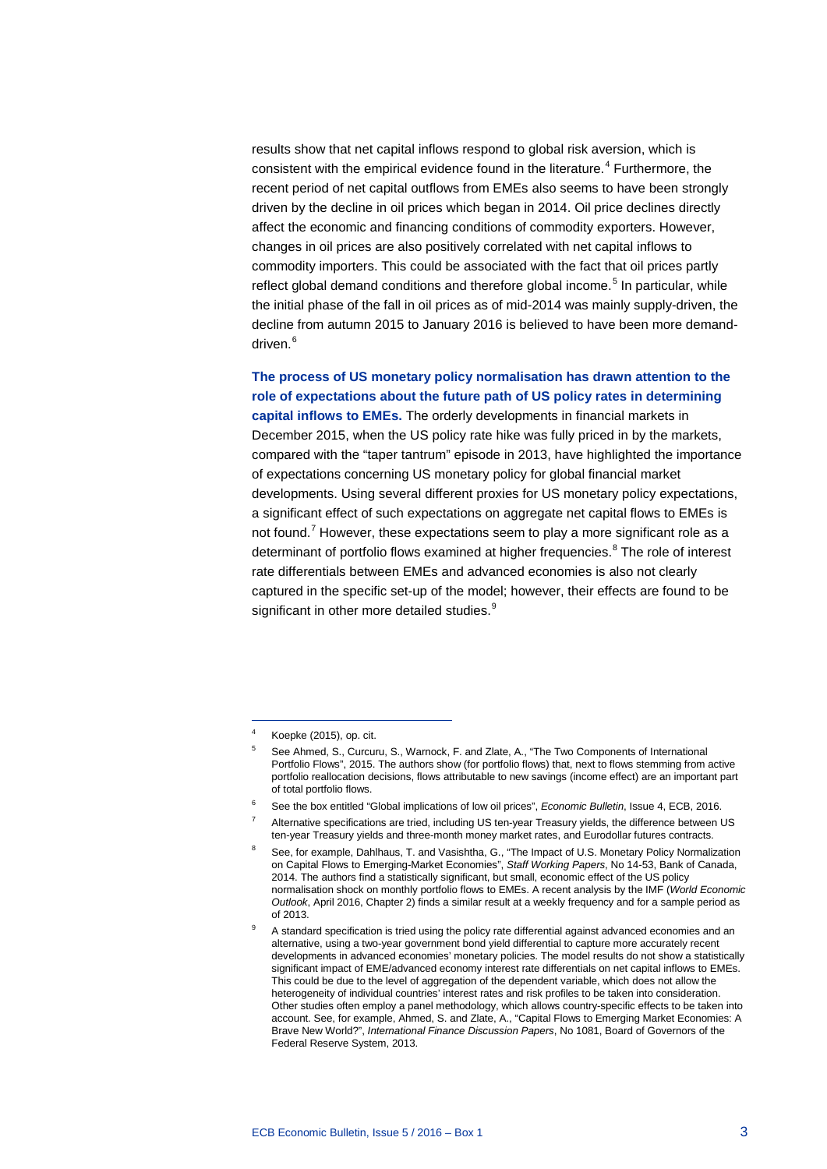results show that net capital inflows respond to global risk aversion, which is consistent with the empirical evidence found in the literature.<sup>[4](#page-2-0)</sup> Furthermore, the recent period of net capital outflows from EMEs also seems to have been strongly driven by the decline in oil prices which began in 2014. Oil price declines directly affect the economic and financing conditions of commodity exporters. However, changes in oil prices are also positively correlated with net capital inflows to commodity importers. This could be associated with the fact that oil prices partly reflect global demand conditions and therefore global income.<sup>[5](#page-2-1)</sup> In particular, while the initial phase of the fall in oil prices as of mid-2014 was mainly supply-driven, the decline from autumn 2015 to January 2016 is believed to have been more demand-driven.<sup>[6](#page-2-2)</sup>

**The process of US monetary policy normalisation has drawn attention to the role of expectations about the future path of US policy rates in determining** 

**capital inflows to EMEs.** The orderly developments in financial markets in December 2015, when the US policy rate hike was fully priced in by the markets, compared with the "taper tantrum" episode in 2013, have highlighted the importance of expectations concerning US monetary policy for global financial market developments. Using several different proxies for US monetary policy expectations, a significant effect of such expectations on aggregate net capital flows to EMEs is not found.<sup>[7](#page-2-3)</sup> However, these expectations seem to play a more significant role as a determinant of portfolio flows examined at higher frequencies. $8$  The role of interest rate differentials between EMEs and advanced economies is also not clearly captured in the specific set-up of the model; however, their effects are found to be significant in other more detailed studies.<sup>[9](#page-2-5)</sup>

-

<span id="page-2-1"></span><span id="page-2-0"></span>Koepke (2015), op. cit.

<sup>5</sup> See Ahmed, S., Curcuru, S., Warnock, F. and Zlate, A., "The Two Components of International Portfolio Flows", 2015. The authors show (for portfolio flows) that, next to flows stemming from active portfolio reallocation decisions, flows attributable to new savings (income effect) are an important part of total portfolio flows.

<span id="page-2-2"></span><sup>6</sup> See the box entitled "Global implications of low oil prices", *Economic Bulletin*, Issue 4, ECB, 2016.

<span id="page-2-3"></span>Alternative specifications are tried, including US ten-year Treasury yields, the difference between US ten-year Treasury yields and three-month money market rates, and Eurodollar futures contracts.

<span id="page-2-4"></span><sup>8</sup> See, for example, Dahlhaus, T. and Vasishtha, G., "The Impact of U.S. Monetary Policy Normalization on Capital Flows to Emerging-Market Economies", *Staff Working Papers*, No 14-53, Bank of Canada, 2014. The authors find a statistically significant, but small, economic effect of the US policy normalisation shock on monthly portfolio flows to EMEs. A recent analysis by the IMF (*World Economic Outlook*, April 2016, Chapter 2) finds a similar result at a weekly frequency and for a sample period as of 2013.

<span id="page-2-5"></span>A standard specification is tried using the policy rate differential against advanced economies and an alternative, using a two-year government bond yield differential to capture more accurately recent developments in advanced economies' monetary policies. The model results do not show a statistically significant impact of EME/advanced economy interest rate differentials on net capital inflows to EMEs. This could be due to the level of aggregation of the dependent variable, which does not allow the heterogeneity of individual countries' interest rates and risk profiles to be taken into consideration. Other studies often employ a panel methodology, which allows country-specific effects to be taken into account. See, for example, Ahmed, S. and Zlate, A., "Capital Flows to Emerging Market Economies: A Brave New World?", *International Finance Discussion Papers*, No 1081, Board of Governors of the Federal Reserve System, 2013.